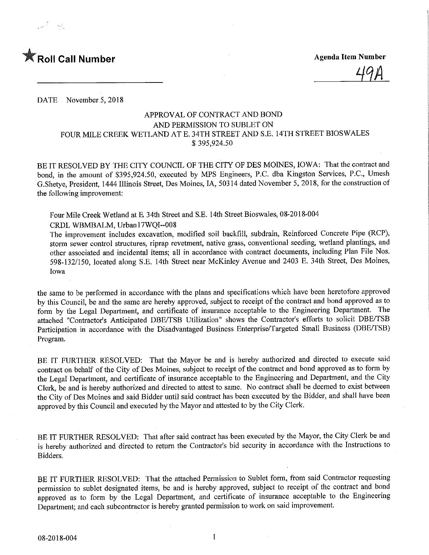

DATE November 5, 2018

## APPROVAL OF CONTRACT AND BOND AND PERMISSION TO SUBLET ON FOUR MILE CREEK WETLAND AT E. 34TH STREET AND S.E. 14TH STREET BIOSWALES \$ 395,924.50

BE IT RESOLVED BY THE CITY COUNCIL OF THE CITY OF DES MOINES, IOWA: That the contract and bond, in the amount of \$395,924.50, executed by MPS Engineers, P.C. dba Kingston Services, P.C., Umesh G.Shetye, President, 1444 Illinois Street, Des Moines, IA, 50314 dated November 5, 2018, for the construction of the following improvement:

Four Mile Creek Wetland at E 34th Street and S.E. 14th Street Bioswales, 08-2018-004

CRDL WBMBALM, Urbanl7WQI-008

The improvement includes excavation, modified soil backfill, subdrain. Reinforced Concrete Pipe (RCP), storm sewer control structures, riprap revetment, native grass, conventional seeding, wetland plantings, and other associated and incidental items; all in accordance with contract documents, including Plan File Nos. 598-132/150, located along S.E. 14th Street near McKinley Avenue and 2403 E. 34th Street, Des Moines, Iowa

the same to be performed in accordance with the plans and specifications which have been heretofore approved by this Council, be and the same are hereby approved, subject to receipt of the contract and bond approved as to form by the Legal Department, and certificate of insurance acceptable to the Engineering Department. The attached "Contractor's Anticipated DBE/TSB Utilization" shows the Contractor's efforts to solicit DBE/TSB Participation in accordance with the Disadvantaged Business Enterprise/Targeted Small Business (DBE/TSB) Program.

BE IT FURTHER RESOLVED: That the Mayor be and is hereby authorized and directed to execute said contract on behalf of the City of Des Moines, subject to receipt of the contract and bond approved as to form by the Legal Department, and certificate of insurance acceptable to the Engmeering and Department, and the City Clerk, be and is hereby authorized and directed to attest to same. No contract shall be deemed to exist between the City of Des Moines and said Bidder until said contract has been executed by the Bidder, and shall have been approved by this Council and executed by the Mayor and attested to by the City Clerk.

BE IT FURTHER RESOLVED: That after said contract has been executed by the Mayor, the City Clerk be and is hereby authorized and directed to return the Contractor's bid security in accordance with the Instructions to Bidders.

BE IT FURTHER RESOLVED: That the attached Permission to Sublet form, from said Contractor requesting permission to sublet designated items, be and is hereby approved, subject to receipt of the contract and bond approved as to form by the Legal Department, and certificate of insurance acceptable to the Engineering Department; and each subcontractor is hereby granted permission to work on said improvement.

 $\mathbf{1}$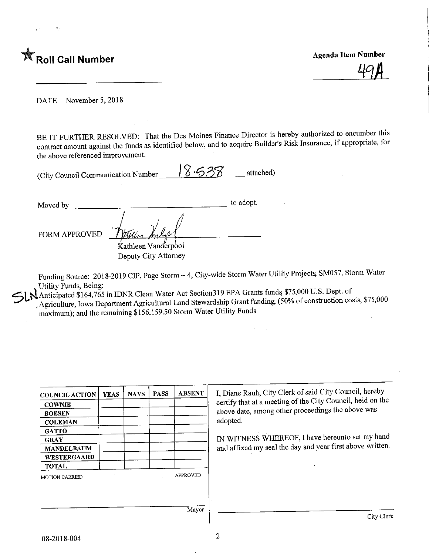

DATE November 5,2018

BE IT FURTHER RESOLVED: That the Des Moines Finance Director is hereby authorized to encumber this contract amount against the funds as identified below, and to acquire Builder's Risk Insurance, if appropriate, for the above referenced improvement.

| (City Council Communication Number | 18.538<br>attached) |
|------------------------------------|---------------------|
|                                    |                     |

 $\frac{1}{2}$  and  $\frac{1}{2}$  to adopt. FORM APPROVED Kathleen Vanderpool Deputy City Attorney

Funding Source: 2018-2019 CIP, Page Storm - 4, City-wide Storm Water Utility Projects, SM057, Storm Water Utility Funds, Being:

Anticipated \$164,765 in IDNR Clean Water Act Section319 EPA Grants funds \$75,000 U.S. Dept. of .Agriculture, Iowa Department Agricultural Land Stewardship Grant funding, (50% of construction costs, \$75,000 maximum); and the remaining \$156,159.50 Storm Water Utility Funds

| <b>COUNCIL ACTION</b> | <b>YEAS</b> | <b>NAYS</b> | <b>PASS</b> | <b>ABSENT</b>   |
|-----------------------|-------------|-------------|-------------|-----------------|
| <b>COWNIE</b>         |             |             |             |                 |
| <b>BOESEN</b>         |             |             |             |                 |
| <b>COLEMAN</b>        |             |             |             |                 |
| <b>GATTO</b>          |             |             |             |                 |
| <b>GRAY</b>           |             |             |             |                 |
| <b>MANDELBAUM</b>     |             |             |             |                 |
| WESTERGAARD           |             |             |             |                 |
| <b>TOTAL</b>          |             |             |             |                 |
| <b>MOTION CARRIED</b> |             |             |             | <b>APPROVED</b> |
|                       |             |             |             |                 |
|                       |             |             |             |                 |
|                       |             |             |             |                 |
|                       |             |             |             | Mayor           |

I, Diane Rauh, City Clerk of said City Council, hereby certify that at a meeting of the City Council, held on the above date, among other proceedings the above was adopted.

IN WITINESS WHEREOF, I have hereunto set  $m_f$  have and affixed my seal the day and year first above written.